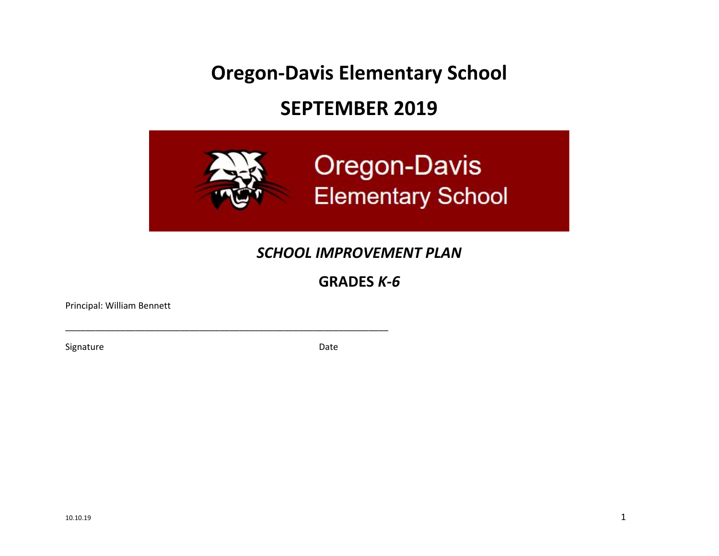**Oregon-Davis Elementary School**

# **SEPTEMBER 2019**



# *SCHOOL IMPROVEMENT PLAN*

# **GRADES** *K-6*

Principal: William Bennett

Signature Date Date Date

\_\_\_\_\_\_\_\_\_\_\_\_\_\_\_\_\_\_\_\_\_\_\_\_\_\_\_\_\_\_\_\_\_\_\_\_\_\_\_\_\_\_\_\_\_\_\_\_\_\_\_\_\_\_\_\_\_\_\_\_\_\_\_\_\_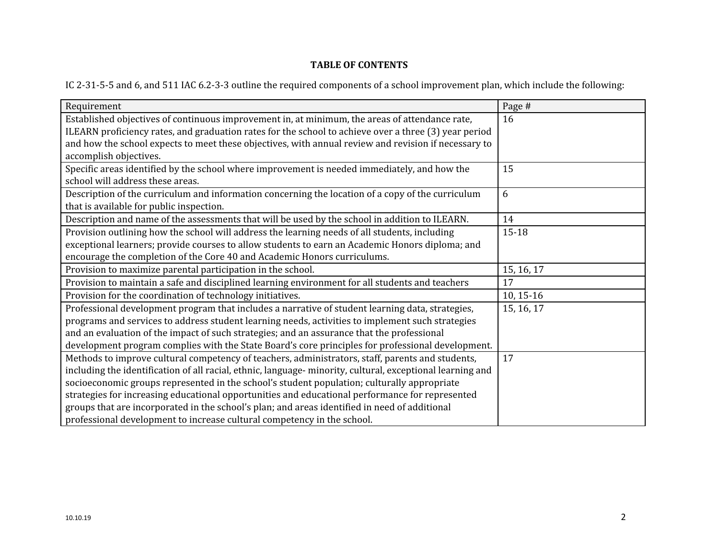# **TABLE OF CONTENTS**

IC 2-31-5-5 and 6, and 511 IAC 6.2-3-3 outline the required components of a school improvement plan, which include the following:

| Requirement                                                                                                | Page #      |
|------------------------------------------------------------------------------------------------------------|-------------|
| Established objectives of continuous improvement in, at minimum, the areas of attendance rate,             | 16          |
| ILEARN proficiency rates, and graduation rates for the school to achieve over a three (3) year period      |             |
| and how the school expects to meet these objectives, with annual review and revision if necessary to       |             |
| accomplish objectives.                                                                                     |             |
| Specific areas identified by the school where improvement is needed immediately, and how the               | 15          |
| school will address these areas.                                                                           |             |
| Description of the curriculum and information concerning the location of a copy of the curriculum          | 6           |
| that is available for public inspection.                                                                   |             |
| Description and name of the assessments that will be used by the school in addition to ILEARN.             | 14          |
| Provision outlining how the school will address the learning needs of all students, including              | $15 - 18$   |
| exceptional learners; provide courses to allow students to earn an Academic Honors diploma; and            |             |
| encourage the completion of the Core 40 and Academic Honors curriculums.                                   |             |
| Provision to maximize parental participation in the school.                                                | 15, 16, 17  |
| Provision to maintain a safe and disciplined learning environment for all students and teachers            | 17          |
| Provision for the coordination of technology initiatives.                                                  | $10, 15-16$ |
| Professional development program that includes a narrative of student learning data, strategies,           | 15, 16, 17  |
| programs and services to address student learning needs, activities to implement such strategies           |             |
| and an evaluation of the impact of such strategies; and an assurance that the professional                 |             |
| development program complies with the State Board's core principles for professional development.          |             |
| Methods to improve cultural competency of teachers, administrators, staff, parents and students,           | 17          |
| including the identification of all racial, ethnic, language- minority, cultural, exceptional learning and |             |
| socioeconomic groups represented in the school's student population; culturally appropriate                |             |
| strategies for increasing educational opportunities and educational performance for represented            |             |
| groups that are incorporated in the school's plan; and areas identified in need of additional              |             |
| professional development to increase cultural competency in the school.                                    |             |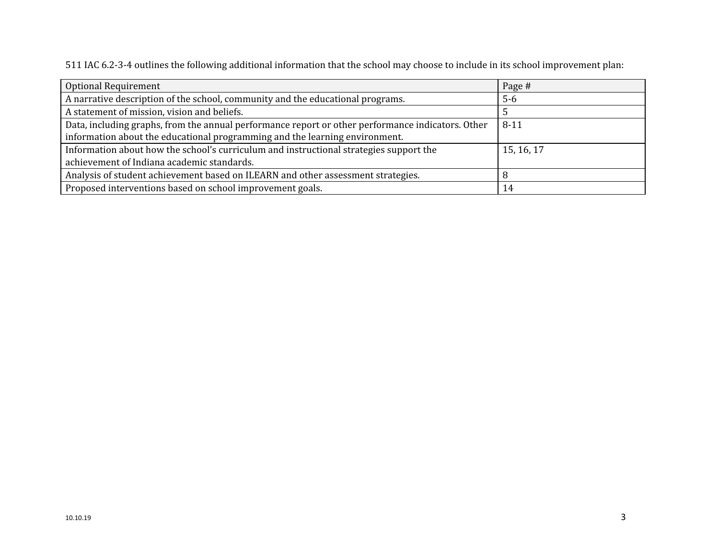511 IAC 6.2-3-4 outlines the following additional information that the school may choose to include in its school improvement plan:

| <b>Optional Requirement</b>                                                                       | Page #     |
|---------------------------------------------------------------------------------------------------|------------|
| A narrative description of the school, community and the educational programs.                    | $5-6$      |
| A statement of mission, vision and beliefs.                                                       |            |
| Data, including graphs, from the annual performance report or other performance indicators. Other | $8 - 11$   |
| information about the educational programming and the learning environment.                       |            |
| Information about how the school's curriculum and instructional strategies support the            | 15, 16, 17 |
| achievement of Indiana academic standards.                                                        |            |
| Analysis of student achievement based on ILEARN and other assessment strategies.                  |            |
| Proposed interventions based on school improvement goals.                                         | 14         |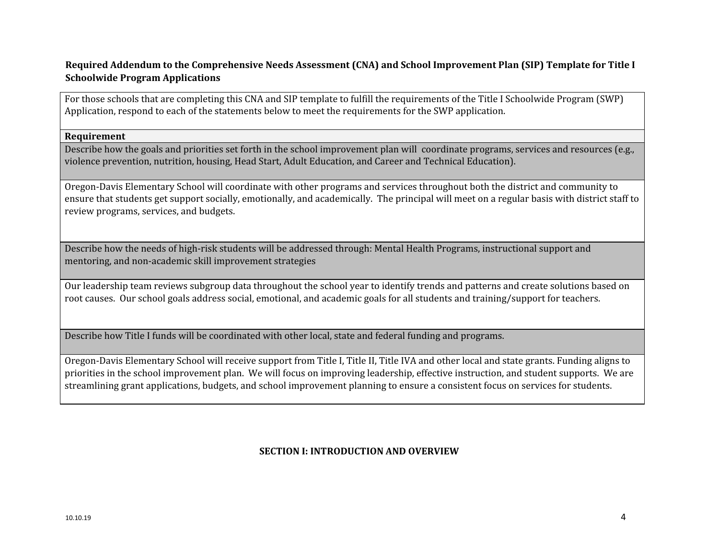# Required Addendum to the Comprehensive Needs Assessment (CNA) and School Improvement Plan (SIP) Template for Title I **Schoolwide Program Applications**

For those schools that are completing this CNA and SIP template to fulfill the requirements of the Title I Schoolwide Program (SWP) Application, respond to each of the statements below to meet the requirements for the SWP application.

#### **Requirement**

Describe how the goals and priorities set forth in the school improvement plan will coordinate programs, services and resources (e.g., violence prevention, nutrition, housing, Head Start, Adult Education, and Career and Technical Education).

Oregon-Davis Elementary School will coordinate with other programs and services throughout both the district and community to ensure that students get support socially, emotionally, and academically. The principal will meet on a regular basis with district staff to review programs, services, and budgets.

Describe how the needs of high-risk students will be addressed through: Mental Health Programs, instructional support and mentoring, and non-academic skill improvement strategies

Our leadership team reviews subgroup data throughout the school year to identify trends and patterns and create solutions based on root causes. Our school goals address social, emotional, and academic goals for all students and training/support for teachers.

Describe how Title I funds will be coordinated with other local, state and federal funding and programs.

Oregon-Davis Elementary School will receive support from Title I, Title II, Title IVA and other local and state grants. Funding aligns to priorities in the school improvement plan. We will focus on improving leadership, effective instruction, and student supports. We are streamlining grant applications, budgets, and school improvement planning to ensure a consistent focus on services for students.

# **SECTION I: INTRODUCTION AND OVERVIEW**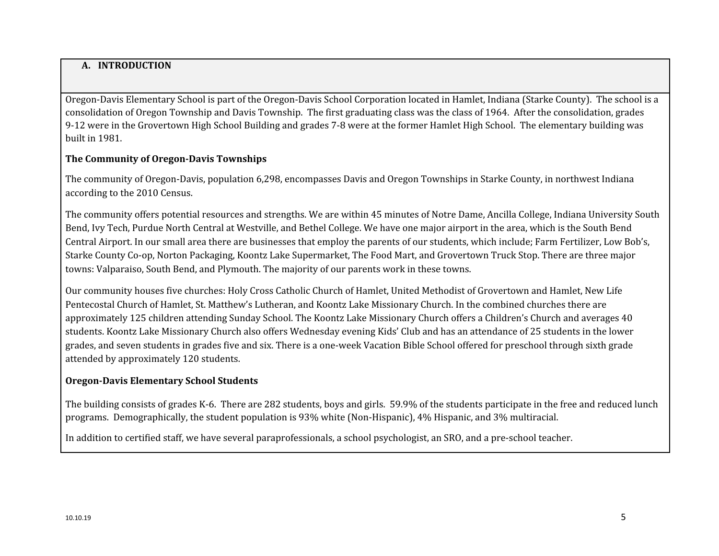# **A. INTRODUCTION**

Oregon-Davis Elementary School is part of the Oregon-Davis School Corporation located in Hamlet, Indiana (Starke County). The school is a consolidation of Oregon Township and Davis Township. The first graduating class was the class of 1964. After the consolidation, grades 9-12 were in the Grovertown High School Building and grades 7-8 were at the former Hamlet High School. The elementary building was built in 1981.

# **The Community of Oregon-Davis Townships**

The community of Oregon-Davis, population 6,298, encompasses Davis and Oregon Townships in Starke County, in northwest Indiana according to the 2010 Census.

The community offers potential resources and strengths. We are within 45 minutes of Notre Dame, Ancilla College, Indiana University South Bend, Ivy Tech, Purdue North Central at Westville, and Bethel College. We have one major airport in the area, which is the South Bend Central Airport. In our small area there are businesses that employ the parents of our students, which include; Farm Fertilizer, Low Bob's, Starke County Co-op, Norton Packaging, Koontz Lake Supermarket, The Food Mart, and Grovertown Truck Stop. There are three major towns: Valparaiso, South Bend, and Plymouth. The majority of our parents work in these towns.

Our community houses five churches: Holy Cross Catholic Church of Hamlet, United Methodist of Grovertown and Hamlet, New Life Pentecostal Church of Hamlet, St. Matthew's Lutheran, and Koontz Lake Missionary Church. In the combined churches there are approximately 125 children attending Sunday School. The Koontz Lake Missionary Church offers a Children's Church and averages 40 students. Koontz Lake Missionary Church also offers Wednesday evening Kids' Club and has an attendance of 25 students in the lower grades, and seven students in grades five and six. There is a one-week Vacation Bible School offered for preschool through sixth grade attended by approximately 120 students.

# **Oregon-Davis Elementary School Students**

The building consists of grades K-6. There are 282 students, boys and girls. 59.9% of the students participate in the free and reduced lunch programs. Demographically, the student population is 93% white (Non-Hispanic), 4% Hispanic, and 3% multiracial.

In addition to certified staff, we have several paraprofessionals, a school psychologist, an SRO, and a pre-school teacher.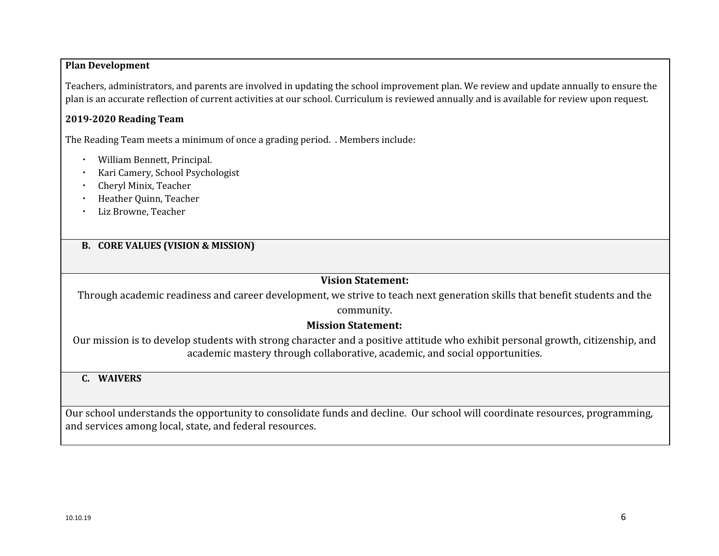# **Plan Development**

Teachers, administrators, and parents are involved in updating the school improvement plan. We review and update annually to ensure the plan is an accurate reflection of current activities at our school. Curriculum is reviewed annually and is available for review upon request.

# **2019-2020 Reading Team**

The Reading Team meets a minimum of once a grading period. . Members include:

- William Bennett, Principal.
- Kari Camery, School Psychologist
- Cheryl Minix, Teacher
- **Heather Quinn, Teacher**
- Liz Browne, Teacher

# **B. CORE VALUES (VISION & MISSION)**

# **Vision Statement:**

Through academic readiness and career development, we strive to teach next generation skills that benefit students and the

#### community.

# **Mission Statement:**

Our mission is to develop students with strong character and a positive attitude who exhibit personal growth, citizenship, and academic mastery through collaborative, academic, and social opportunities.

# **C. WAIVERS**

Our school understands the opportunity to consolidate funds and decline. Our school will coordinate resources, programming, and services among local, state, and federal resources.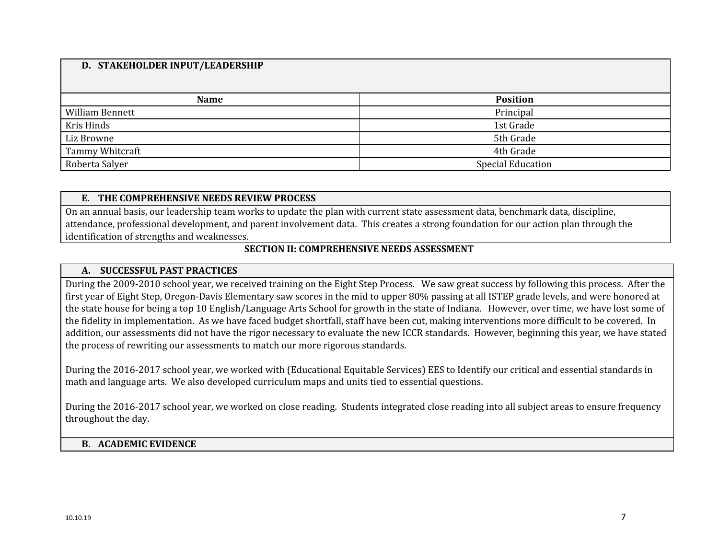#### **D. STAKEHOLDER INPUT/LEADERSHIP**

| <b>Name</b>            | <b>Position</b>          |
|------------------------|--------------------------|
| <b>William Bennett</b> | Principal                |
| Kris Hinds             | 1st Grade                |
| Liz Browne             | 5th Grade                |
| Tammy Whitcraft        | 4th Grade                |
| Roberta Salyer         | <b>Special Education</b> |

#### **E. THE COMPREHENSIVE NEEDS REVIEW PROCESS**

On an annual basis, our leadership team works to update the plan with current state assessment data, benchmark data, discipline, attendance, professional development, and parent involvement data. This creates a strong foundation for our action plan through the identification of strengths and weaknesses.

#### **SECTION II: COMPREHENSIVE NEEDS ASSESSMENT**

#### **A. SUCCESSFUL PAST PRACTICES**

During the 2009-2010 school year, we received training on the Eight Step Process. We saw great success by following this process. After the first year of Eight Step, Oregon-Davis Elementary saw scores in the mid to upper 80% passing at all ISTEP grade levels, and were honored at the state house for being a top 10 English/Language Arts School for growth in the state of Indiana. However, over time, we have lost some of the fidelity in implementation. As we have faced budget shortfall, staff have been cut, making interventions more difficult to be covered. In addition, our assessments did not have the rigor necessary to evaluate the new ICCR standards. However, beginning this year, we have stated the process of rewriting our assessments to match our more rigorous standards.

During the 2016-2017 school year, we worked with (Educational Equitable Services) EES to Identify our critical and essential standards in math and language arts. We also developed curriculum maps and units tied to essential questions.

During the 2016-2017 school year, we worked on close reading. Students integrated close reading into all subject areas to ensure frequency throughout the day.

#### **B. ACADEMIC EVIDENCE**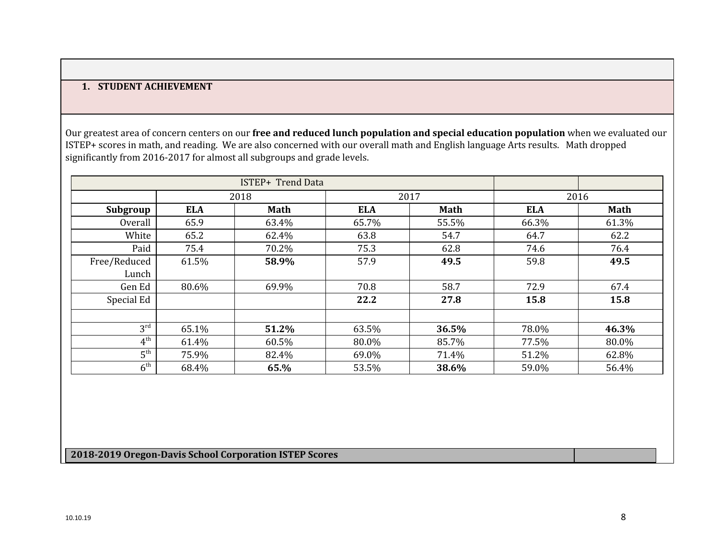# **1. STUDENT ACHIEVEMENT**

Our greatest area of concern centers on our **free and reduced lunch population and special education population** when we evaluated our ISTEP+ scores in math, and reading. We are also concerned with our overall math and English language Arts results. Math dropped significantly from 2016-2017 for almost all subgroups and grade levels.

|                 | 2018       |             | 2017       |             |            | 2016        |
|-----------------|------------|-------------|------------|-------------|------------|-------------|
| Subgroup        | <b>ELA</b> | <b>Math</b> | <b>ELA</b> | <b>Math</b> | <b>ELA</b> | <b>Math</b> |
| Overall         | 65.9       | 63.4%       | 65.7%      | 55.5%       | 66.3%      | 61.3%       |
| White           | 65.2       | 62.4%       | 63.8       | 54.7        | 64.7       | 62.2        |
| Paid            | 75.4       | 70.2%       | 75.3       | 62.8        | 74.6       | 76.4        |
| Free/Reduced    | 61.5%      | 58.9%       | 57.9       | 49.5        | 59.8       | 49.5        |
| Lunch           |            |             |            |             |            |             |
| Gen Ed          | 80.6%      | 69.9%       | 70.8       | 58.7        | 72.9       | 67.4        |
| Special Ed      |            |             | 22.2       | 27.8        | 15.8       | 15.8        |
|                 |            |             |            |             |            |             |
| $3^{\text{rd}}$ | 65.1%      | 51.2%       | 63.5%      | 36.5%       | 78.0%      | 46.3%       |
| 4 <sup>th</sup> | 61.4%      | 60.5%       | 80.0%      | 85.7%       | 77.5%      | 80.0%       |
| 5 <sup>th</sup> | 75.9%      | 82.4%       | 69.0%      | 71.4%       | 51.2%      | 62.8%       |
| $6^{\text{th}}$ | 68.4%      | 65.%        | 53.5%      | 38.6%       | 59.0%      | 56.4%       |

# **2018-2019 Oregon-Davis School Corporation ISTEP Scores**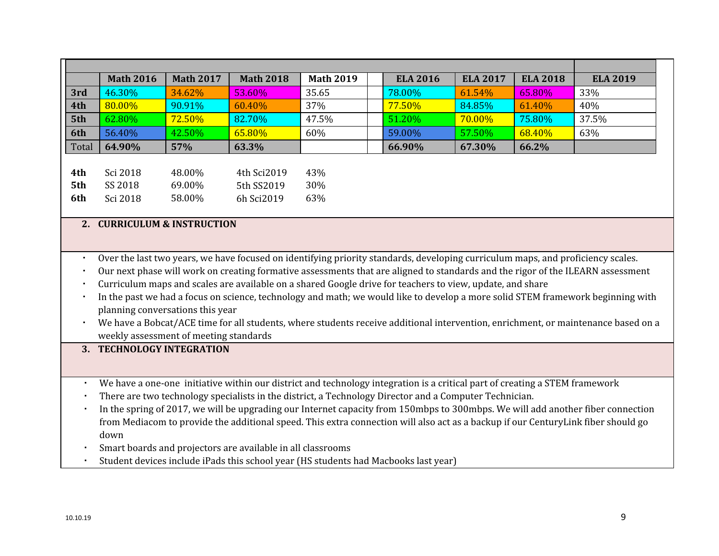|       | <b>Math 2016</b> | <b>Math 2017</b> | <b>Math 2018</b> | <b>Math 2019</b> |  | <b>ELA 2016</b> | <b>ELA 2017</b> | <b>ELA 2018</b> | <b>ELA 2019</b> |
|-------|------------------|------------------|------------------|------------------|--|-----------------|-----------------|-----------------|-----------------|
| 3rd   | 46.30%           | 34.62%           | 53.60%           | 35.65            |  | 78.00%          | 61.54%          | 65.80%          | 33%             |
| 4th   | 80.00%           | 90.91%           | 60.40%           | 37%              |  | 77.50%          | 84.85%          | 61.40%          | 40%             |
| 5th   | 62.80%           | <b>72.50%</b>    | 82.70%           | 47.5%            |  | 51.20%          | <b>70.00%</b>   | 75.80%          | 37.5%           |
| 6th   | 56.40%           | 42.50%           | 65.80%           | 60%              |  | 59.00%          | 57.50%          | 68.40%          | 63%             |
| Total | 64.90%           | 57%              | 63.3%            |                  |  | 66.90%          | 67.30%          | 66.2%           |                 |
|       |                  |                  |                  |                  |  |                 |                 |                 |                 |
| 4th   | Sci 2018         | 48.00%           | 4th Sci2019      | 43%              |  |                 |                 |                 |                 |
| 5th   | SS 2018          | 69.00%           | 5th SS2019       | 30%              |  |                 |                 |                 |                 |
| 6th   | Sci 2018         | 58.00%           | 6h Sci2019       | 63%              |  |                 |                 |                 |                 |

#### **2. CURRICULUM & INSTRUCTION**

- Over the last two years, we have focused on identifying priority standards, developing curriculum maps, and proficiency scales.
- Our next phase will work on creating formative assessments that are aligned to standards and the rigor of the ILEARN assessment
- Curriculum maps and scales are available on a shared Google drive for teachers to view, update, and share
- In the past we had a focus on science, technology and math; we would like to develop a more solid STEM framework beginning with planning conversations this year
- We have a Bobcat/ACE time for all students, where students receive additional intervention, enrichment, or maintenance based on a weekly assessment of meeting standards

#### **3. TECHNOLOGY INTEGRATION**

- We have a one-one initiative within our district and technology integration is a critical part of creating a STEM framework
- There are two technology specialists in the district, a Technology Director and a Computer Technician.
- In the spring of 2017, we will be upgrading our Internet capacity from 150mbps to 300mbps. We will add another fiber connection from Mediacom to provide the additional speed. This extra connection will also act as a backup if our CenturyLink fiber should go down
- Smart boards and projectors are available in all classrooms
- Student devices include iPads this school year (HS students had Macbooks last year)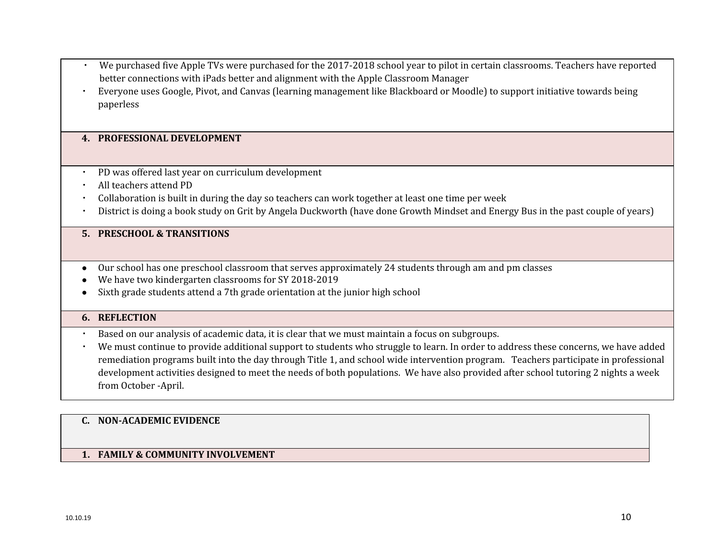- We purchased five Apple TVs were purchased for the 2017-2018 school year to pilot in certain classrooms. Teachers have reported better connections with iPads better and alignment with the Apple Classroom Manager
- Everyone uses Google, Pivot, and Canvas (learning management like Blackboard or Moodle) to support initiative towards being paperless

#### **4. PROFESSIONAL DEVELOPMENT**

- PD was offered last year on curriculum development
- All teachers attend PD
- Collaboration is built in during the day so teachers can work together at least one time per week
- District is doing a book study on Grit by Angela Duckworth (have done Growth Mindset and Energy Bus in the past couple of years)

# **5. PRESCHOOL & TRANSITIONS**

- Our school has one preschool classroom that serves approximately 24 students through am and pm classes
- We have two kindergarten classrooms for SY 2018-2019
- Sixth grade students attend a 7th grade orientation at the junior high school

# **6. REFLECTION**

- Based on our analysis of academic data, it is clear that we must maintain a focus on subgroups.
- We must continue to provide additional support to students who struggle to learn. In order to address these concerns, we have added remediation programs built into the day through Title 1, and school wide intervention program. Teachers participate in professional development activities designed to meet the needs of both populations. We have also provided after school tutoring 2 nights a week from October -April.

#### **C. NON-ACADEMIC EVIDENCE**

#### **1. FAMILY & COMMUNITY INVOLVEMENT**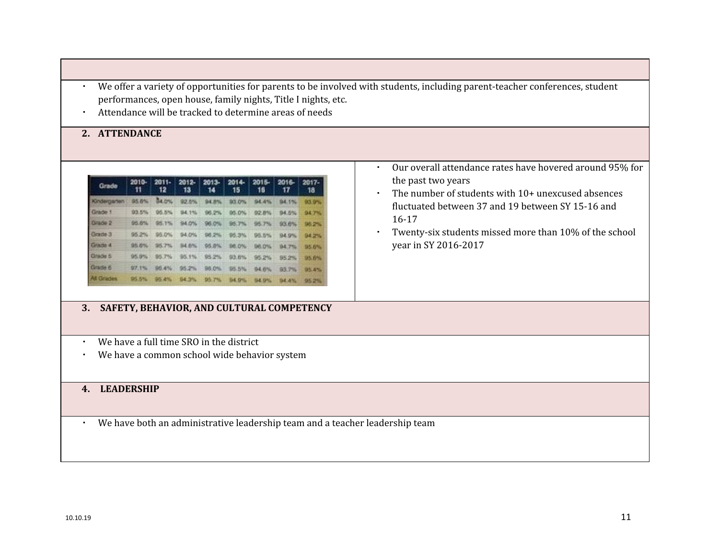- We offer a variety of opportunities for parents to be involved with students, including parent-teacher conferences, student performances, open house, family nights, Title I nights, etc.
- Attendance will be tracked to determine areas of needs

#### **2. ATTENDANCE**

| Grade            | 2010-<br>11  | $2011 -$<br>12 | 2012-<br>13 | $2013 -$<br>14 | 2014-<br>15  | 2015-<br>16 | $2016 -$<br>17 | 2017-<br>18   |
|------------------|--------------|----------------|-------------|----------------|--------------|-------------|----------------|---------------|
| Gridergarten     | <b>95.6%</b> | 14.0%          | 92.5%       | 94.8%          | <b>B3.0%</b> | 94.4%       | 94.1%          | 93.9%         |
| Grade 1          | 93.5%        | 05.5%          | 54.1%       | $-96.2%$       | 95.0%        | 92.8%       | B4.5%          | 94,754        |
| Grade 2          | 95.6%        | 95.1%          | 94.0%       | 96.0%          | 95.7%        | 95.7%       | 93.6%          | <b>DSP 24</b> |
| Grade 3          | 95.2%        | 95.0%          | 94.0%       | 96.2%          | 95.3%        | 96.5%       | 94.9%          | <b>D4 2%</b>  |
| Grade 4          |              | 95.6% 95.7%    | 94.6%       | 95.8%          | 96.0%        | 96.0% 1     | 94.7%          | 95.6%         |
| Grade 5          | 95.9%        | 95.7%          | 95.1%       | 95.2%          | 93.6%        | 95.2%       | 95.2%          | <b>195.6%</b> |
| Grade 6          | 97.1%        | $-95.4\%$      | 95.2%       | 96.0%          | 95.5%        | 94.6%       | 83.7%          | 95.4%         |
| <b>At Grades</b> | 95.5%        | 95.4%          | 94.3%       | 95.7%          | 94.9%        | 04.0%       | <b>D4.4%</b>   | 95.2%         |

#### **3. SAFETY, BEHAVIOR, AND CULTURAL COMPETENCY**

- We have a full time SRO in the district
- We have a common school wide behavior system

# **4. LEADERSHIP**

▪ We have both an administrative leadership team and a teacher leadership team

- Our overall attendance rates have hovered around 95% for the past two years
- The number of students with 10+ unexcused absences fluctuated between 37 and 19 between SY 15-16 and 16-17
- Twenty-six students missed more than 10% of the school year in SY 2016-2017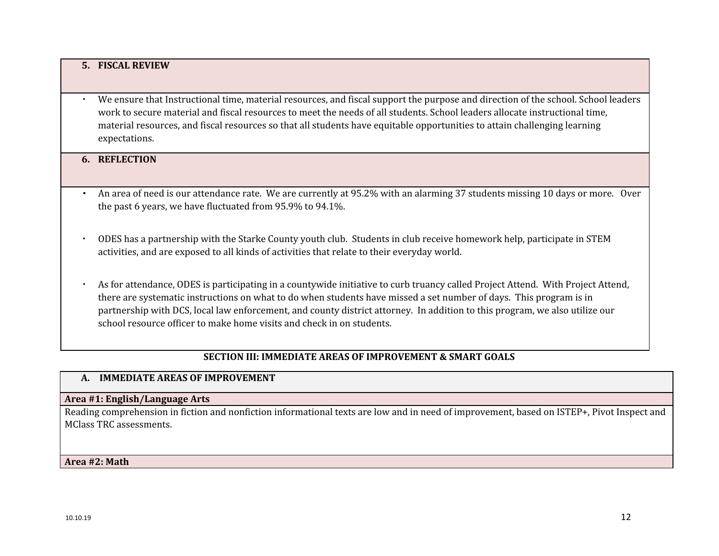#### **5. FISCAL REVIEW**

▪ We ensure that Instructional time, material resources, and fiscal support the purpose and direction of the school. School leaders work to secure material and fiscal resources to meet the needs of all students. School leaders allocate instructional time, material resources, and fiscal resources so that all students have equitable opportunities to attain challenging learning expectations.

#### **6. REFLECTION**

- An area of need is our attendance rate. We are currently at 95.2% with an alarming 37 students missing 10 days or more. Over the past 6 years, we have fluctuated from 95.9% to 94.1%.
- ODES has a partnership with the Starke County youth club. Students in club receive homework help, participate in STEM activities, and are exposed to all kinds of activities that relate to their everyday world.
- As for attendance, ODES is participating in a countywide initiative to curb truancy called Project Attend. With Project Attend, there are systematic instructions on what to do when students have missed a set number of days. This program is in partnership with DCS, local law enforcement, and county district attorney. In addition to this program, we also utilize our school resource officer to make home visits and check in on students.

# **SECTION III: IMMEDIATE AREAS OF IMPROVEMENT & SMART GOALS**

#### **A. IMMEDIATE AREAS OF IMPROVEMENT**

#### **Area #1: English/Language Arts**

Reading comprehension in fiction and nonfiction informational texts are low and in need of improvement, based on ISTEP+, Pivot Inspect and MClass TRC assessments.

#### **Area #2: Math**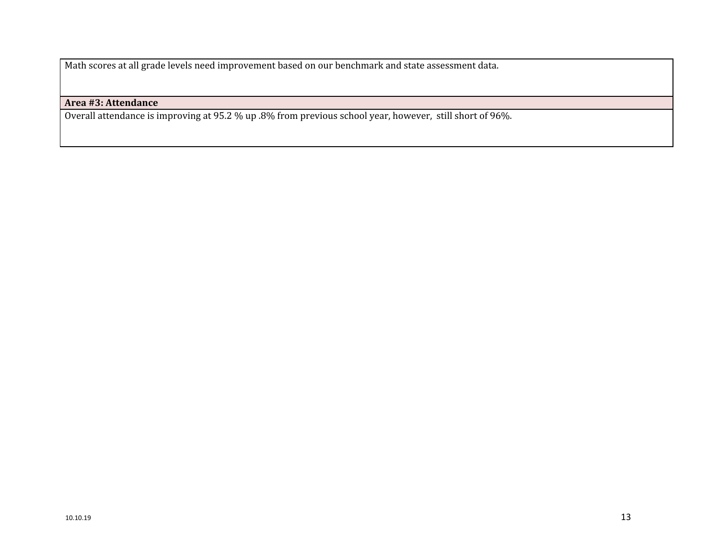Math scores at all grade levels need improvement based on our benchmark and state assessment data.

# **Area #3: Attendance**

Overall attendance is improving at 95.2 % up .8% from previous school year, however, still short of 96%.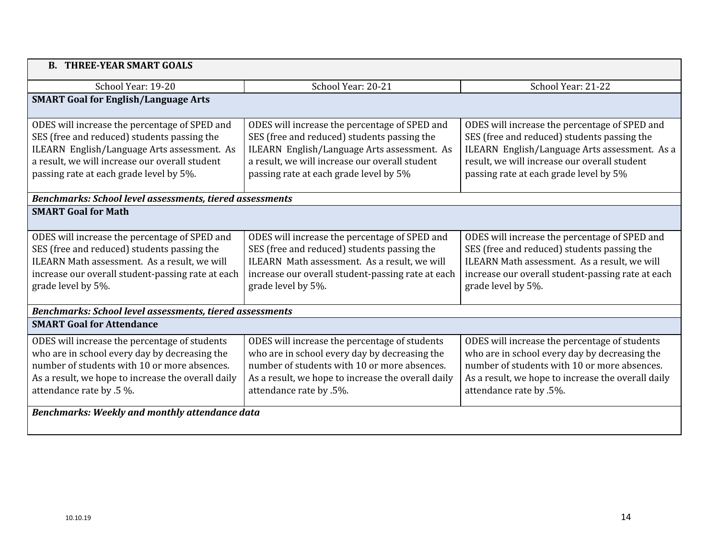| <b>B. THREE-YEAR SMART GOALS</b>                                                                                                                                                                                                         |                                                                                                                                                                                                                                         |                                                                                                                                                                                                                                         |  |  |  |
|------------------------------------------------------------------------------------------------------------------------------------------------------------------------------------------------------------------------------------------|-----------------------------------------------------------------------------------------------------------------------------------------------------------------------------------------------------------------------------------------|-----------------------------------------------------------------------------------------------------------------------------------------------------------------------------------------------------------------------------------------|--|--|--|
| School Year: 19-20                                                                                                                                                                                                                       | School Year: 20-21                                                                                                                                                                                                                      | School Year: 21-22                                                                                                                                                                                                                      |  |  |  |
| <b>SMART Goal for English/Language Arts</b>                                                                                                                                                                                              |                                                                                                                                                                                                                                         |                                                                                                                                                                                                                                         |  |  |  |
| ODES will increase the percentage of SPED and<br>SES (free and reduced) students passing the<br>ILEARN English/Language Arts assessment. As<br>a result, we will increase our overall student<br>passing rate at each grade level by 5%. | ODES will increase the percentage of SPED and<br>SES (free and reduced) students passing the<br>ILEARN English/Language Arts assessment. As<br>a result, we will increase our overall student<br>passing rate at each grade level by 5% | ODES will increase the percentage of SPED and<br>SES (free and reduced) students passing the<br>ILEARN English/Language Arts assessment. As a<br>result, we will increase our overall student<br>passing rate at each grade level by 5% |  |  |  |
| <b>Benchmarks: School level assessments, tiered assessments</b>                                                                                                                                                                          |                                                                                                                                                                                                                                         |                                                                                                                                                                                                                                         |  |  |  |
| <b>SMART Goal for Math</b>                                                                                                                                                                                                               |                                                                                                                                                                                                                                         |                                                                                                                                                                                                                                         |  |  |  |
| ODES will increase the percentage of SPED and<br>SES (free and reduced) students passing the<br>ILEARN Math assessment. As a result, we will<br>increase our overall student-passing rate at each<br>grade level by 5%.                  | ODES will increase the percentage of SPED and<br>SES (free and reduced) students passing the<br>ILEARN Math assessment. As a result, we will<br>increase our overall student-passing rate at each<br>grade level by 5%.                 | ODES will increase the percentage of SPED and<br>SES (free and reduced) students passing the<br>ILEARN Math assessment. As a result, we will<br>increase our overall student-passing rate at each<br>grade level by 5%.                 |  |  |  |
| <b>Benchmarks: School level assessments, tiered assessments</b>                                                                                                                                                                          |                                                                                                                                                                                                                                         |                                                                                                                                                                                                                                         |  |  |  |
| <b>SMART Goal for Attendance</b>                                                                                                                                                                                                         |                                                                                                                                                                                                                                         |                                                                                                                                                                                                                                         |  |  |  |
| ODES will increase the percentage of students<br>who are in school every day by decreasing the<br>number of students with 10 or more absences.<br>As a result, we hope to increase the overall daily<br>attendance rate by .5 %.         | ODES will increase the percentage of students<br>who are in school every day by decreasing the<br>number of students with 10 or more absences.<br>As a result, we hope to increase the overall daily<br>attendance rate by .5%.         | ODES will increase the percentage of students<br>who are in school every day by decreasing the<br>number of students with 10 or more absences.<br>As a result, we hope to increase the overall daily<br>attendance rate by .5%.         |  |  |  |
| Benchmarks: Weekly and monthly attendance data                                                                                                                                                                                           |                                                                                                                                                                                                                                         |                                                                                                                                                                                                                                         |  |  |  |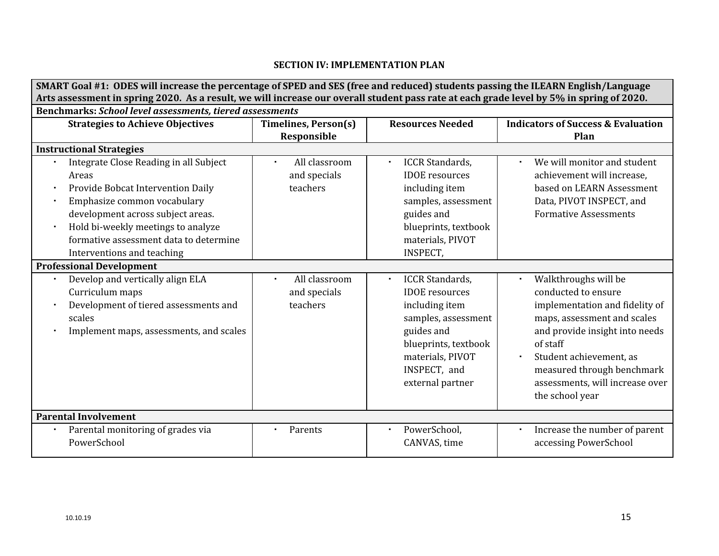# **SECTION IV: IMPLEMENTATION PLAN**

| SMART Goal #1: ODES will increase the percentage of SPED and SES (free and reduced) students passing the ILEARN English/Language         |                             |                                        |                                               |  |  |  |  |
|------------------------------------------------------------------------------------------------------------------------------------------|-----------------------------|----------------------------------------|-----------------------------------------------|--|--|--|--|
| Arts assessment in spring 2020. As a result, we will increase our overall student pass rate at each grade level by 5% in spring of 2020. |                             |                                        |                                               |  |  |  |  |
| <b>Benchmarks: School level assessments, tiered assessments</b>                                                                          |                             |                                        |                                               |  |  |  |  |
| <b>Strategies to Achieve Objectives</b>                                                                                                  | <b>Timelines, Person(s)</b> | <b>Resources Needed</b>                | <b>Indicators of Success &amp; Evaluation</b> |  |  |  |  |
|                                                                                                                                          | Responsible                 |                                        | Plan                                          |  |  |  |  |
| <b>Instructional Strategies</b>                                                                                                          |                             |                                        |                                               |  |  |  |  |
| Integrate Close Reading in all Subject                                                                                                   | All classroom<br>$\bullet$  | <b>ICCR Standards,</b><br>×.           | We will monitor and student                   |  |  |  |  |
| Areas                                                                                                                                    | and specials                | <b>IDOE</b> resources                  | achievement will increase,                    |  |  |  |  |
| Provide Bobcat Intervention Daily                                                                                                        | teachers                    | including item                         | based on LEARN Assessment                     |  |  |  |  |
| Emphasize common vocabulary                                                                                                              |                             | samples, assessment                    | Data, PIVOT INSPECT, and                      |  |  |  |  |
| development across subject areas.                                                                                                        |                             | guides and                             | <b>Formative Assessments</b>                  |  |  |  |  |
| Hold bi-weekly meetings to analyze                                                                                                       |                             | blueprints, textbook                   |                                               |  |  |  |  |
| formative assessment data to determine                                                                                                   |                             | materials, PIVOT                       |                                               |  |  |  |  |
| Interventions and teaching                                                                                                               |                             | <b>INSPECT,</b>                        |                                               |  |  |  |  |
| <b>Professional Development</b>                                                                                                          |                             |                                        |                                               |  |  |  |  |
| Develop and vertically align ELA                                                                                                         | All classroom               | <b>ICCR Standards,</b><br>$\mathbf{r}$ | Walkthroughs will be                          |  |  |  |  |
| Curriculum maps                                                                                                                          | and specials                | <b>IDOE</b> resources                  | conducted to ensure                           |  |  |  |  |
| Development of tiered assessments and                                                                                                    | teachers                    | including item                         | implementation and fidelity of                |  |  |  |  |
| scales                                                                                                                                   |                             | samples, assessment                    | maps, assessment and scales                   |  |  |  |  |
| Implement maps, assessments, and scales                                                                                                  |                             | guides and                             | and provide insight into needs                |  |  |  |  |
|                                                                                                                                          |                             | blueprints, textbook                   | of staff                                      |  |  |  |  |
|                                                                                                                                          |                             | materials, PIVOT                       | Student achievement, as                       |  |  |  |  |
|                                                                                                                                          |                             | INSPECT, and                           | measured through benchmark                    |  |  |  |  |
|                                                                                                                                          |                             | external partner                       | assessments, will increase over               |  |  |  |  |
|                                                                                                                                          |                             |                                        | the school year                               |  |  |  |  |
| <b>Parental Involvement</b>                                                                                                              |                             |                                        |                                               |  |  |  |  |
| Parental monitoring of grades via                                                                                                        | Parents                     | PowerSchool,<br>$\blacksquare$         | Increase the number of parent                 |  |  |  |  |
| PowerSchool                                                                                                                              |                             | CANVAS, time                           | accessing PowerSchool                         |  |  |  |  |
|                                                                                                                                          |                             |                                        |                                               |  |  |  |  |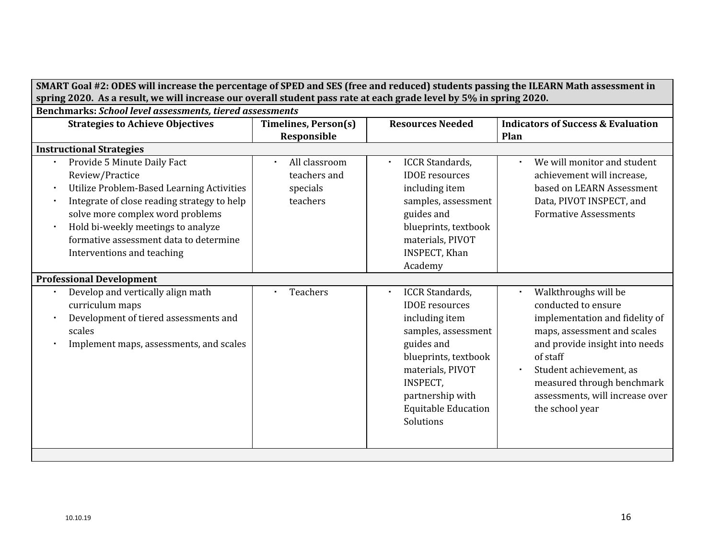| SMART Goal #2: ODES will increase the percentage of SPED and SES (free and reduced) students passing the ILEARN Math assessment in |                                                                                                                    |                             |                                          |                                               |  |  |  |
|------------------------------------------------------------------------------------------------------------------------------------|--------------------------------------------------------------------------------------------------------------------|-----------------------------|------------------------------------------|-----------------------------------------------|--|--|--|
|                                                                                                                                    | spring 2020. As a result, we will increase our overall student pass rate at each grade level by 5% in spring 2020. |                             |                                          |                                               |  |  |  |
|                                                                                                                                    | <b>Benchmarks: School level assessments, tiered assessments</b>                                                    |                             |                                          |                                               |  |  |  |
|                                                                                                                                    | <b>Strategies to Achieve Objectives</b>                                                                            | <b>Timelines, Person(s)</b> | <b>Resources Needed</b>                  | <b>Indicators of Success &amp; Evaluation</b> |  |  |  |
|                                                                                                                                    |                                                                                                                    | Responsible                 |                                          | Plan                                          |  |  |  |
|                                                                                                                                    | <b>Instructional Strategies</b>                                                                                    |                             |                                          |                                               |  |  |  |
|                                                                                                                                    | Provide 5 Minute Daily Fact                                                                                        | All classroom               | <b>ICCR</b> Standards,                   | We will monitor and student                   |  |  |  |
|                                                                                                                                    | Review/Practice                                                                                                    | teachers and                | <b>IDOE</b> resources                    | achievement will increase,                    |  |  |  |
| ×                                                                                                                                  | Utilize Problem-Based Learning Activities                                                                          | specials                    | including item                           | based on LEARN Assessment                     |  |  |  |
|                                                                                                                                    | Integrate of close reading strategy to help                                                                        | teachers                    | samples, assessment                      | Data, PIVOT INSPECT, and                      |  |  |  |
|                                                                                                                                    | solve more complex word problems                                                                                   |                             | guides and                               | <b>Formative Assessments</b>                  |  |  |  |
| $\blacksquare$                                                                                                                     | Hold bi-weekly meetings to analyze                                                                                 |                             | blueprints, textbook                     |                                               |  |  |  |
|                                                                                                                                    | formative assessment data to determine                                                                             |                             | materials, PIVOT                         |                                               |  |  |  |
|                                                                                                                                    | Interventions and teaching                                                                                         |                             | <b>INSPECT, Khan</b>                     |                                               |  |  |  |
|                                                                                                                                    |                                                                                                                    |                             | Academy                                  |                                               |  |  |  |
|                                                                                                                                    | <b>Professional Development</b>                                                                                    |                             |                                          |                                               |  |  |  |
|                                                                                                                                    | Develop and vertically align math                                                                                  | Teachers                    | <b>ICCR Standards,</b><br>$\blacksquare$ | Walkthroughs will be                          |  |  |  |
|                                                                                                                                    | curriculum maps                                                                                                    |                             | <b>IDOE</b> resources                    | conducted to ensure                           |  |  |  |
|                                                                                                                                    | Development of tiered assessments and                                                                              |                             | including item                           | implementation and fidelity of                |  |  |  |
|                                                                                                                                    | scales                                                                                                             |                             | samples, assessment                      | maps, assessment and scales                   |  |  |  |
|                                                                                                                                    | Implement maps, assessments, and scales                                                                            |                             | guides and                               | and provide insight into needs                |  |  |  |
|                                                                                                                                    |                                                                                                                    |                             | blueprints, textbook                     | of staff                                      |  |  |  |
|                                                                                                                                    |                                                                                                                    |                             | materials, PIVOT                         | Student achievement, as                       |  |  |  |
|                                                                                                                                    |                                                                                                                    |                             | <b>INSPECT,</b>                          | measured through benchmark                    |  |  |  |
|                                                                                                                                    |                                                                                                                    |                             | partnership with                         | assessments, will increase over               |  |  |  |
|                                                                                                                                    |                                                                                                                    |                             | <b>Equitable Education</b>               | the school year                               |  |  |  |
|                                                                                                                                    |                                                                                                                    |                             | Solutions                                |                                               |  |  |  |
|                                                                                                                                    |                                                                                                                    |                             |                                          |                                               |  |  |  |
|                                                                                                                                    |                                                                                                                    |                             |                                          |                                               |  |  |  |
|                                                                                                                                    |                                                                                                                    |                             |                                          |                                               |  |  |  |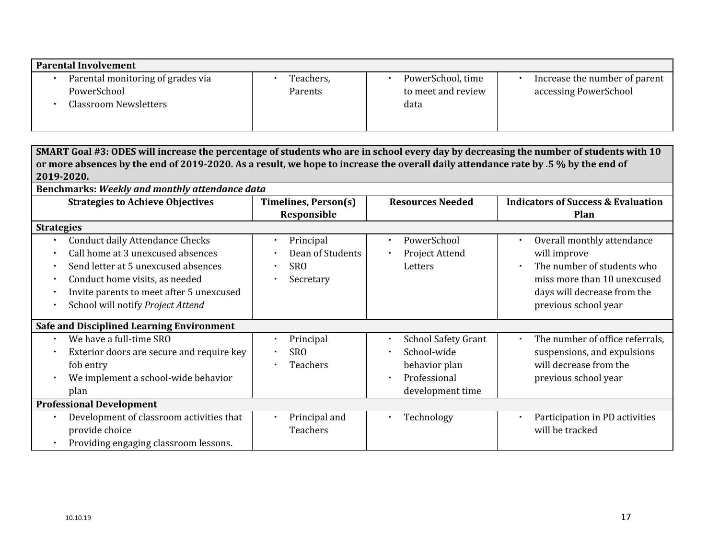| <b>Parental Involvement</b>       |           |                    |                               |
|-----------------------------------|-----------|--------------------|-------------------------------|
| Parental monitoring of grades via | Teachers, | PowerSchool, time  | Increase the number of parent |
| PowerSchool                       | Parents   | to meet and review | accessing PowerSchool         |
| Classroom Newsletters             |           | data               |                               |
|                                   |           |                    |                               |
|                                   |           |                    |                               |

|                   | SMART Goal #3: ODES will increase the percentage of students who are in school every day by decreasing the number of students with 10 |                         |                            |                                               |  |  |  |  |
|-------------------|---------------------------------------------------------------------------------------------------------------------------------------|-------------------------|----------------------------|-----------------------------------------------|--|--|--|--|
|                   | or more absences by the end of 2019-2020. As a result, we hope to increase the overall daily attendance rate by .5 % by the end of    |                         |                            |                                               |  |  |  |  |
|                   | 2019-2020.                                                                                                                            |                         |                            |                                               |  |  |  |  |
|                   | Benchmarks: Weekly and monthly attendance data                                                                                        |                         |                            |                                               |  |  |  |  |
|                   | <b>Strategies to Achieve Objectives</b>                                                                                               | Timelines, Person(s)    | <b>Resources Needed</b>    | <b>Indicators of Success &amp; Evaluation</b> |  |  |  |  |
|                   |                                                                                                                                       | Responsible             |                            | Plan                                          |  |  |  |  |
| <b>Strategies</b> |                                                                                                                                       |                         |                            |                                               |  |  |  |  |
|                   | <b>Conduct daily Attendance Checks</b>                                                                                                | Principal<br>×          | PowerSchool                | Overall monthly attendance                    |  |  |  |  |
|                   | Call home at 3 unexcused absences                                                                                                     | Dean of Students<br>٠   | Project Attend             | will improve                                  |  |  |  |  |
|                   | Send letter at 5 unexcused absences                                                                                                   | <b>SRO</b><br>٠         | Letters                    | The number of students who                    |  |  |  |  |
| $\bullet$         | Conduct home visits, as needed                                                                                                        | Secretary<br>٠          |                            | miss more than 10 unexcused                   |  |  |  |  |
|                   | Invite parents to meet after 5 unexcused                                                                                              |                         |                            | days will decrease from the                   |  |  |  |  |
|                   | School will notify Project Attend                                                                                                     |                         |                            | previous school year                          |  |  |  |  |
|                   |                                                                                                                                       |                         |                            |                                               |  |  |  |  |
|                   | <b>Safe and Disciplined Learning Environment</b>                                                                                      |                         |                            |                                               |  |  |  |  |
|                   | We have a full-time SRO                                                                                                               | Principal<br>٠          | <b>School Safety Grant</b> | The number of office referrals,<br>$\bullet$  |  |  |  |  |
|                   | Exterior doors are secure and require key                                                                                             | <b>SRO</b><br>$\bullet$ | School-wide                | suspensions, and expulsions                   |  |  |  |  |
|                   | fob entry                                                                                                                             | Teachers<br>$\bullet$   | behavior plan              | will decrease from the                        |  |  |  |  |
|                   | We implement a school-wide behavior                                                                                                   |                         | Professional               | previous school year                          |  |  |  |  |
|                   | plan                                                                                                                                  |                         | development time           |                                               |  |  |  |  |
|                   | <b>Professional Development</b>                                                                                                       |                         |                            |                                               |  |  |  |  |
|                   | Development of classroom activities that                                                                                              | Principal and<br>٠      | Technology                 | Participation in PD activities                |  |  |  |  |
|                   | provide choice                                                                                                                        | Teachers                |                            | will be tracked                               |  |  |  |  |
|                   | Providing engaging classroom lessons.                                                                                                 |                         |                            |                                               |  |  |  |  |